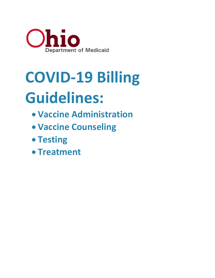

# **COVID-19 Billing Guidelines:**

- **Vaccine Administration**
- **Vaccine Counseling**
- **Testing**
- **Treatment**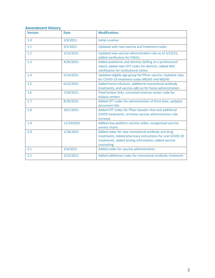#### **Amendment History**

| <b>Version</b> | <b>Date</b> | <b>Modifications</b>                                                                                                                                                                |
|----------------|-------------|-------------------------------------------------------------------------------------------------------------------------------------------------------------------------------------|
| 1.0            | 2/9/2021    | <b>Initial creation</b>                                                                                                                                                             |
| 1.1            | 3/1/2021    | Updated with new vaccine and treatment codes                                                                                                                                        |
| 1.2            | 3/15/2021   | Updated new vaccine administration rate as of 3/15/21;<br>added clarification for FQHCs                                                                                             |
| 1.3            | 4/26/2021   | Added podiatrists and dentists (billing on a professional<br>claim); added new CDT codes for dentists; added NDC<br>clarification for institutional claims                          |
| 1.4            | 5/14/2021   | Updated eligible age group for Pfizer vaccine; Updated rates<br>for COVID-19 treatment codes M0243 and M0245                                                                        |
| 1.5            | 6/25/2021   | Added home infusions, additional monoclonal antibody<br>treatments, and vaccine add-on for home administration                                                                      |
| 1.6            | 7/20/2021   | Fixed broken links, corrected revenue center code for<br>dialysis centers                                                                                                           |
| 1.7            | 8/20/2021   | Added CPT codes for administration of third dose, updated<br>document title                                                                                                         |
| 1.8            | 10/1/2021   | Added CPT codes for Pfizer booster shot and additional<br>COVID treatments; at-home vaccine administration rate<br>increase                                                         |
| 1.9            | 11/10/2021  | Added new pediatric vaccine codes, reorganized vaccine<br>service charts                                                                                                            |
| 2.0            | 1/28/2022   | Added codes for new monoclonal antibody and drug<br>treatments; Added pharmacy instructions for oral COVID-19<br>treatments; added testing information; added vaccine<br>counseling |
| 2.1            | 2/4/2022    | Added codes for vaccine administration.                                                                                                                                             |
| 2.2            | 2/22/2022   | Added additional codes for monoclonal antibody treatment.                                                                                                                           |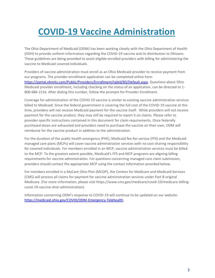## **COVID-19 Vaccine Administration**

The Ohio Department of Medicaid (ODM) has been working closely with the Ohio Department of Health (ODH) to provide uniform information regarding the COVID-19 vaccine and its distribution to Ohioans. These guidelines are being provided to assist eligible enrolled providers with billing for administering the vaccine to Medicaid covered individuals.

Providers of vaccine administration must enroll as an Ohio Medicaid provider to receive payment from our programs. The provider enrollment application can be completed online here: https://portal.ohmits.com/Public/Providers/Enrollment/tabId/83/Default.aspx. Questions about Ohio Medicaid provider enrollment, including checking on the status of an application, can be directed to 1- 800-686-1516. After dialing this number, follow the prompts for Provider Enrollment.

Coverage for administration of the COVID-19 vaccine is similar to existing vaccine administration services billed to Medicaid. Since the federal government is covering the full cost of the COVID-19 vaccine at this time, providers will not receive Medicaid payment for the vaccine itself. While providers will not receive payment for the vaccine product, they may still be required to report it on claims. Please refer to provider-specific instructions contained in this document for claim requirements. Once federally purchased doses are exhausted and providers need to purchase the vaccine on their own, ODM will reimburse for the vaccine product in addition to the administration.

For the duration of the public health emergency (PHE), Medicaid fee-for-service (FFS) and the Medicaid managed care plans (MCPs) will cover vaccine administration services with no cost-sharing responsibility for covered individuals. For members enrolled in an MCP, vaccine administration services must be billed to the MCP. To the greatest extent possible, Medicaid's FFS and MCP programs are aligning billing requirements for vaccine administration. For questions concerning managed care claim submission, providers should contact the appropriate MCP using the contact information provided below.

For members enrolled in a MyCare Ohio Plan (MCOP), the Centers for Medicare and Medicaid Services (CMS) will process all claims for payment for vaccine administration services under Part B original Medicare. (For more information, please visit https://www.cms.gov/medicare/covid-19/medicare-billingcovid-19-vaccine-shot-administration)

Information concerning ODM's response to COVID-19 will continue to be updated on our website: https://medicaid.ohio.gov/COVID/ODM-Emergency-Telehealth.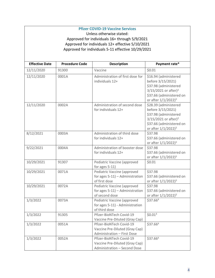#### **Pfizer COVID-19 Vaccine Services**

Unless otherwise stated: Approved for individuals 16+ through 5/9/2021 Approved for individuals 12+ effective 5/10/2021 Approved for individuals 5-11 effective 10/29/2021

| <b>Effective Date</b> | <b>Procedure Code</b> | <b>Description</b>                                                                         | Payment rate*                                                                                                                                                            |
|-----------------------|-----------------------|--------------------------------------------------------------------------------------------|--------------------------------------------------------------------------------------------------------------------------------------------------------------------------|
| 12/11/2020            | 91300                 | Vaccine                                                                                    | \$0.01                                                                                                                                                                   |
| 12/11/2020            | 0001A                 | Administration of first dose for<br>individuals 12+                                        | \$16.94 (administered<br>before 3/15/2021)<br>\$37.98 (administered<br>$3/15/2021$ or after) <sup>2</sup><br>\$37.66 (administered on<br>or after 1/1/2022) <sup>3</sup> |
| 12/11/2020            | 0002A                 | Administration of second dose<br>for individuals 12+                                       | \$28.39 (administered<br>before 3/15/2021)<br>\$37.98 (administered<br>$3/15/2021$ or after) <sup>2</sup><br>\$37.66 (administered on<br>or after 1/1/2022) <sup>3</sup> |
| 8/12/2021             | 0003A                 | Administration of third dose<br>for individuals 12+                                        | \$37.98<br>\$37.66 (administered on<br>or after 1/1/2022) <sup>3</sup>                                                                                                   |
| 9/22/2021             | 0004A                 | Administration of booster dose<br>for individuals 12+                                      | \$37.98<br>\$37.66 (administered on<br>or after 1/1/2022) <sup>3</sup>                                                                                                   |
| 10/29/2021            | 91307                 | Pediatric Vaccine (approved<br>for ages $5-11$ )                                           | \$0.01                                                                                                                                                                   |
| 10/29/2021            | 0071A                 | Pediatric Vaccine (approved<br>for ages $5-11$ ) - Administration<br>of first dose         | \$37.98<br>\$37.66 (administered on<br>or after 1/1/2022) <sup>3</sup>                                                                                                   |
| 10/29/2021            | 0072A                 | Pediatric Vaccine (approved<br>for ages $5-11$ ) - Administration<br>of second dose        | \$37.98<br>\$37.66 (administered on<br>or after 1/1/2022) <sup>3</sup>                                                                                                   |
| 1/3/2022              | 0073A                 | Pediatric Vaccine (approved<br>for ages 5-11) - Administration<br>of third dose            | \$37.664                                                                                                                                                                 |
| 1/3/2022              | 91305                 | Pfizer-BioNTech Covid-19<br>Vaccine Pre-Diluted (Gray Cap)                                 | \$0.01 <sup>4</sup>                                                                                                                                                      |
| 1/3/2022              | 0051A                 | Pfizer-BioNTech Covid-19<br>Vaccine Pre-Diluted (Gray Cap)<br>Administration - First Dose  | \$37.664                                                                                                                                                                 |
| 1/3/2022              | 0052A                 | Pfizer-BioNTech Covid-19<br>Vaccine Pre-Diluted (Gray Cap)<br>Administration - Second Dose | \$37.664                                                                                                                                                                 |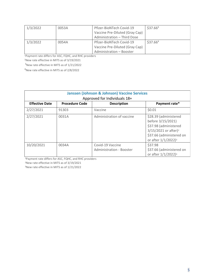| 1/3/2022 | 0053A | Pfizer-BioNTech Covid-19       | \$37.66 <sup>4</sup> |
|----------|-------|--------------------------------|----------------------|
|          |       | Vaccine Pre-Diluted (Gray Cap) |                      |
|          |       | Administration - Third Dose    |                      |
| 1/3/2022 | 0054A | Pfizer-BioNTech Covid-19       | \$37.66 <sup>4</sup> |
|          |       | Vaccine Pre-Diluted (Gray Cap) |                      |
|          |       | Administration - Booster       |                      |

<sup>1</sup>Payment rate differs for ASC, FQHC, and RHC providers

<sup>2</sup>New rate effective in MITS as of 3/19/2021

<sup>3</sup>New rate effective in MITS as of 1/21/2022

<sup>4</sup>New rate effective in MITS as of 2/8/2022

| <b>Janssen (Johnson &amp; Johnson) Vaccine Services</b><br>Approved for Individuals 18+ |       |                                                     |                                                                                                                                                                          |  |  |
|-----------------------------------------------------------------------------------------|-------|-----------------------------------------------------|--------------------------------------------------------------------------------------------------------------------------------------------------------------------------|--|--|
| <b>Procedure Code</b><br><b>Effective Date</b><br>Payment rate*<br><b>Description</b>   |       |                                                     |                                                                                                                                                                          |  |  |
| 2/27/2021                                                                               | 91303 | Vaccine                                             | \$0.01                                                                                                                                                                   |  |  |
| 2/27/2021                                                                               | 0031A | Administration of vaccine                           | \$28.39 (administered<br>before 3/15/2021)<br>\$37.98 (administered<br>$3/15/2021$ or after) <sup>2</sup><br>\$37.66 (administered on<br>or after 1/1/2022) <sup>3</sup> |  |  |
| 10/20/2021                                                                              | 0034A | Covid-19 Vaccine<br><b>Administration - Booster</b> | \$37.98<br>\$37.66 (administered on<br>or after 1/1/2022) <sup>3</sup>                                                                                                   |  |  |

<sup>1</sup>Payment rate differs for ASC, FQHC, and RHC providers

<sup>2</sup>New rate effective in MITS as of 3/19/2021

<sup>3</sup>New rate effective in MITS as of 1/21/2022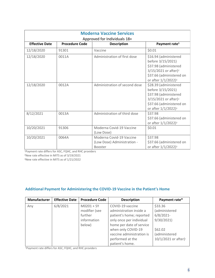| <b>Moderna Vaccine Services</b><br>Approved for Individuals 18+ |                       |                                                                    |                                                                                                                                                                          |  |  |
|-----------------------------------------------------------------|-----------------------|--------------------------------------------------------------------|--------------------------------------------------------------------------------------------------------------------------------------------------------------------------|--|--|
| <b>Effective Date</b>                                           | <b>Procedure Code</b> | <b>Description</b>                                                 | Payment rate <sup>1</sup>                                                                                                                                                |  |  |
| 12/18/2020                                                      | 91301                 | Vaccine                                                            | \$0.01                                                                                                                                                                   |  |  |
| 12/18/2020                                                      | 0011A                 | Administration of first dose                                       | \$16.94 (administered<br>before 3/15/2021)<br>\$37.98 (administered<br>$3/15/2021$ or after) <sup>2</sup><br>\$37.66 (administered on<br>or after 1/1/2022) <sup>3</sup> |  |  |
| 12/18/2020                                                      | 0012A                 | Administration of second dose                                      | \$28.39 (administered<br>before 3/15/2021)<br>\$37.98 (administered<br>$3/15/2021$ or after) <sup>2</sup><br>\$37.66 (administered on<br>or after 1/1/2022) <sup>3</sup> |  |  |
| 8/12/2021                                                       | 0013A                 | Administration of third dose                                       | \$37.98<br>\$37.66 (administered on<br>or after 1/1/2022) <sup>3</sup>                                                                                                   |  |  |
| 10/20/2021                                                      | 91306                 | Moderna Covid-19 Vaccine<br>(Low Dose)                             | \$0.01                                                                                                                                                                   |  |  |
| 10/20/2021                                                      | 0064A                 | Moderna Covid-19 Vaccine<br>(Low Dose) Administration -<br>Booster | \$37.98<br>\$37.66 (administered on<br>or after 1/1/2022) <sup>3</sup>                                                                                                   |  |  |

<sup>1</sup>Payment rate differs for ASC, FQHC, and RHC providers

<sup>2</sup>New rate effective in MITS as of 3/19/2021

<sup>3</sup>New rate effective in MITS as of 1/21/2022

#### **Additional Payment for Administering the COVID-19 Vaccine in the Patient's Home**

| <b>Manufacturer</b> | <b>Effective Date</b> | <b>Procedure Code</b> | <b>Description</b>        | Payment rate*                    |
|---------------------|-----------------------|-----------------------|---------------------------|----------------------------------|
| Any                 | 6/8/2021              | $M0201 + SY$          | COVID-19 vaccine          | \$33.36                          |
|                     |                       | modifier (see         | administration inside a   | (administered                    |
|                     |                       | further               | patient's home; reported  | $6/8/2021$ -                     |
|                     |                       | information           | only once per individual  | 9/30/2021                        |
|                     |                       | below)                | home per date of service  |                                  |
|                     |                       |                       | when only COVID-19        | \$62.02                          |
|                     |                       |                       | vaccine administration is | (administered                    |
|                     |                       |                       | performed at the          | 10/1/2021 or after) <sup>3</sup> |
|                     |                       |                       | patient's home.           |                                  |

<sup>1</sup>Payment rate differs for ASC, FQHC, and RHC providers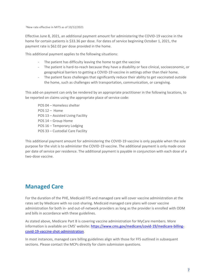<sup>3</sup>New rate effective in MITS as of 10/12/2021

Effective June 8, 2021, an additional payment amount for administering the COVID-19 vaccine in the home for certain patients is \$33.36 per dose. For dates of service beginning October 1, 2021, the payment rate is \$62.02 per dose provided in the home.

This additional payment applies to the following situations:

- The patient has difficulty leaving the home to get the vaccine
- The patient is hard-to-reach because they have a disability or face clinical, socioeconomic, or geographical barriers to getting a COVID-19 vaccine in settings other than their home.
- The patient faces challenges that significantly reduce their ability to get vaccinated outside the home, such as challenges with transportation, communication, or caregiving.

This add-on payment can only be rendered by an appropriate practitioner in the following locations, to be reported on claims using the appropriate place of service code:

POS 04 – Homeless shelter POS 12 – Home POS 13 – Assisted Living Facility POS 14 – Group Home POS 16 – Temporary Lodging POS 33 – Custodial Care Facility

This additional payment amount for administering the COVID-19 vaccine is only payable when the sole purpose for the visit is to administer the COVID-19 vaccine. The additional payment is only made once per date of service per residence. The additional payment is payable in conjunction with each dose of a two-dose vaccine.

## **Managed Care**

For the duration of the PHE, Medicaid FFS and managed care will cover vaccine administration at the rates set by Medicare with no cost-sharing. Medicaid managed care plans will cover vaccine administration for both in- and out-of-network providers as long as the provider is enrolled with ODM and bills in accordance with these guidelines.

As stated above, Medicare Part B is covering vaccine administration for MyCare members. More information is available on CMS' website: https://www.cms.gov/medicare/covid-19/medicare-billingcovid-19-vaccine-shot-administration.

In most instances, managed care billing guidelines align with those for FFS outlined in subsequent sections. Please contact the MCPs directly for claim submission questions.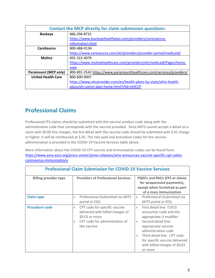|                             | <b>Contact the MCP directly for claim submission questions:</b>      |  |  |  |
|-----------------------------|----------------------------------------------------------------------|--|--|--|
| <b>Buckeye</b>              | 866-296-8731                                                         |  |  |  |
|                             | https://www.buckeyehealthplan.com/providers/coronavirus-             |  |  |  |
|                             | information.html                                                     |  |  |  |
| <b>CareSource</b>           | 800-488-0134                                                         |  |  |  |
|                             | https://www.caresource.com/oh/providers/provider-portal/medicaid/    |  |  |  |
| <b>Molina</b>               | 855-322-4079                                                         |  |  |  |
|                             | https://www.molinahealthcare.com/providers/oh/medicaid/Pages/home.   |  |  |  |
|                             | aspx                                                                 |  |  |  |
| <b>Paramount (MCP only)</b> | 800-891-2542 https://www.paramounthealthcare.com/services/providers/ |  |  |  |
| <b>United Health Care</b>   | 800-600-9007                                                         |  |  |  |
|                             | https://www.uhcprovider.com/en/health-plans-by-state/ohio-health-    |  |  |  |
|                             | plans/oh-comm-plan-home.html?rfid=UHCCP                              |  |  |  |

## **Professional Claims**

Professional FFS claims should be submitted with the vaccine product code along with the administration code that corresponds with the vaccine provided. Since MITS cannot accept a detail on a claim with \$0.00 line charges, the line detail with the vaccine code should be submitted with \$.01 charge or higher; it will be reimbursed at \$.01. The rate paid and procedure codes for the vaccine administration is provided in the COVID-19 Vaccine Services table above.

More information about the COVID-19 CPT vaccine and immunization codes can be found here: https://www.ama-assn.org/press-center/press-releases/ama-announces-vaccine-specific-cpt-codescoronavirus-immunizations

| <b>Professional Claim Submission for COVID-19 Vaccine Services</b> |                                                                                                                                                                |                                                                                                                                                                                                                                                                                                       |  |  |  |
|--------------------------------------------------------------------|----------------------------------------------------------------------------------------------------------------------------------------------------------------|-------------------------------------------------------------------------------------------------------------------------------------------------------------------------------------------------------------------------------------------------------------------------------------------------------|--|--|--|
| <b>Billing provider type</b>                                       | <b>Providers of Professional Services</b>                                                                                                                      | <b>FQHCs and RHCs (FFS or claims</b><br>for wraparound payments),<br>except when furnished as part<br>of a mass immunization                                                                                                                                                                          |  |  |  |
| <b>Claim type</b>                                                  | Professional (Submitted via MITS<br>$\rangle$<br>portal or EDI)                                                                                                | Professional (Submitted via<br>$\rangle$<br>MITS portal or EDI)                                                                                                                                                                                                                                       |  |  |  |
| <b>Procedure code</b>                                              | CPT code for specific vaccine<br>$\rangle$<br>delivered with billed charges of<br>\$0.01 or more<br>CPT code for administration of<br>$\rangle$<br>the vaccine | First detail line: T1015<br>$\rangle$<br>encounter code and the<br>appropriate U modifier<br>Second detail line:<br>$\rangle$<br>appropriate vaccine<br>administration code<br>Third detail line: CPT code<br>$\rangle$<br>for specific vaccine delivered<br>with billed charges of \$0.01<br>or more |  |  |  |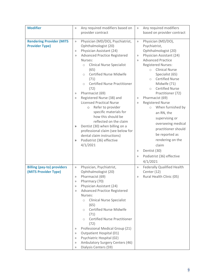| <b>Modifier</b>                   | $\rangle$        | Any required modifiers based on                              | $\rangle\rangle$ | Any required modifiers                                  |
|-----------------------------------|------------------|--------------------------------------------------------------|------------------|---------------------------------------------------------|
|                                   |                  | provider contract                                            |                  | based on provider contract                              |
|                                   |                  |                                                              |                  |                                                         |
| <b>Rendering Provider (MITS</b>   | $\rangle$        | Physician (MD/DO), Psychiatrist,                             | $\rangle$        | Physician (MD/DO),                                      |
| <b>Provider Type)</b>             |                  | Ophthalmologist (20)                                         |                  | Psychiatrist,                                           |
|                                   | $\rangle$        | Physician Assistant (24)                                     |                  | Ophthalmologist (20)                                    |
|                                   | $\rangle$        | <b>Advanced Practice Registered</b>                          | $\rangle\rangle$ | Physician Assistant (24)                                |
|                                   |                  | Nurses:                                                      | $\rangle$        | <b>Advanced Practice</b>                                |
|                                   |                  | <b>Clinical Nurse Specialist</b><br>$\circ$                  |                  | <b>Registered Nurses:</b>                               |
|                                   |                  | (65)                                                         |                  | <b>Clinical Nurse</b><br>$\circ$                        |
|                                   |                  | <b>Certified Nurse Midwife</b><br>$\bigcirc$                 |                  | Specialist (65)                                         |
|                                   |                  | (71)                                                         |                  | <b>Certified Nurse</b><br>$\bigcirc$                    |
|                                   |                  | <b>Certified Nurse Practitioner</b><br>$\bigcirc$            |                  | Midwife (71)                                            |
|                                   |                  | (72)                                                         |                  | <b>Certified Nurse</b><br>$\bigcirc$                    |
|                                   | $\rangle$        | Pharmacist (69)                                              |                  | Practitioner (72)                                       |
|                                   | $\rangle$        | Registered Nurse (38) and<br><b>Licensed Practical Nurse</b> | $\rangle\rangle$ | Pharmacist (69)                                         |
|                                   |                  | Refer to provider<br>$\circ$                                 | $\rangle$        | <b>Registered Nurse</b><br>When furnished by<br>$\circ$ |
|                                   |                  | specific materials for                                       |                  |                                                         |
|                                   |                  | how this should be                                           |                  | an RN, the                                              |
|                                   |                  | reflected on the claim                                       |                  | supervising or                                          |
|                                   | >>               | Dentist (30) when billing on a                               |                  | overseeing medical                                      |
|                                   |                  | professional claim (see below for                            |                  | practitioner should                                     |
|                                   |                  | dental claim instructions)                                   |                  | be reported as                                          |
|                                   | >>               | Podiatrist (36) effective                                    |                  | rendering on the                                        |
|                                   |                  | 4/1/2021                                                     |                  | claim                                                   |
|                                   |                  |                                                              | $\rangle$        | Dentist (30)                                            |
|                                   |                  |                                                              | $\rangle$        | Podiatrist (36) effective                               |
|                                   |                  |                                                              |                  | 4/1/2021                                                |
|                                   |                  |                                                              |                  |                                                         |
| <b>Billing (pay-to) providers</b> | >>               | Physician, Psychiatrist,                                     | $\rangle$        | <b>Federally Qualified Health</b>                       |
| (MITS Provider Type)              |                  | Ophthalmologist (20)<br>Pharmacist (69)                      |                  | Center (12)                                             |
|                                   | $\rangle$<br>>>  | Pharmacy (70)                                                | $\rangle$        | Rural Health Clinic (05)                                |
|                                   | >>               | Physician Assistant (24)                                     |                  |                                                         |
|                                   | $\rangle$        | <b>Advanced Practice Registered</b>                          |                  |                                                         |
|                                   |                  | Nurses:                                                      |                  |                                                         |
|                                   |                  | <b>Clinical Nurse Specialist</b><br>$\circ$                  |                  |                                                         |
|                                   |                  | (65)                                                         |                  |                                                         |
|                                   |                  | <b>Certified Nurse Midwife</b><br>$\circ$                    |                  |                                                         |
|                                   |                  | (71)                                                         |                  |                                                         |
|                                   |                  | <b>Certified Nurse Practitioner</b><br>$\bigcirc$            |                  |                                                         |
|                                   |                  | (72)                                                         |                  |                                                         |
|                                   | $\rangle\rangle$ | Professional Medical Group (21)                              |                  |                                                         |
|                                   | $\rangle\rangle$ | Outpatient Hospital (01)                                     |                  |                                                         |
|                                   | $\rangle\rangle$ | Psychiatric Hospital (02)                                    |                  |                                                         |
|                                   | $\rangle\rangle$ | Ambulatory Surgery Centers (46)                              |                  |                                                         |
|                                   | >>               | Dialysis Centers (59)                                        |                  |                                                         |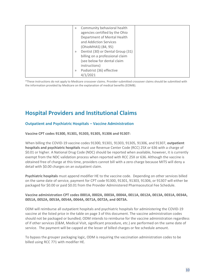| $\rangle$ | Community behavioral health       |  |
|-----------|-----------------------------------|--|
|           | agencies certified by the Ohio    |  |
|           | Department of Mental Health       |  |
|           | and Addiction Services            |  |
|           | (OhioMHAS) (84, 95)               |  |
| $\rangle$ | Dentist (30) or Dental Group (31) |  |
|           | billing on a professional claim   |  |
|           | (see below for dental claim       |  |
|           | instructions)                     |  |
| $\rangle$ | Podiatrist (36) effective         |  |
|           | 4/1/2021                          |  |

\*These instructions do not apply to Medicare crossover claims. Provider-submitted crossover claims should be submitted with the information provided by Medicare on the explanation of medical benefits (EOMB).

### **Hospital Providers and Institutional Claims**

#### **Outpatient and Psychiatric Hospitals – Vaccine Administration**

#### **Vaccine CPT codes 91300, 91301, 91303, 91305, 91306 and 91307:**

When billing the COVID-19 vaccine codes 91300, 91301, 91303, 91305, 91306, and 91307, **outpatient hospitals and psychiatric hospitals** must use Revenue Center Code (RCC) 25X or 636 with a charge of \$0.01 or higher. A National Drug Code (NDC) should be reported when available, however, it is currently exempt from the NDC validation process when reported with RCC 25X or 636. Although the vaccine is obtained free of charge at this time, providers cannot bill with a zero charge because MITS will deny a detail with \$0.00 charges on an outpatient claim.

**Psychiatric hospitals** must append modifier HE to the vaccine code. Depending on other services billed on the same date of service, payment for CPT code 91300, 91301, 91303, 91306, or 91307 will either be packaged for \$0.00 or paid \$0.01 from the Provider Administered Pharmaceutical Fee Schedule.

#### **Vaccine administration CPT codes 0001A, 0002A, 0003A, 0004A, 0011A, 0012A, 0013A, 0031A, 0034A, 0051A, 0052A, 0053A, 0054A, 0064A, 0071A, 0072A, and 0073A.**

ODM will reimburse all outpatient hospitals and psychiatric hospitals for administering the COVID-19 vaccine at the listed price in the table on page 3 of this document. The vaccine administration codes should not be packaged or bundled; ODM intends to reimburse for the vaccine administration regardless of if other services (E&M, Medical Visit, significant procedure, etc.) are performed on the same date of service. The payment will be capped at the lesser of billed charges or fee schedule amount.

To bypass the grouper packaging logic, ODM is requiring the vaccination administration codes to be billed using RCC 771 with modifier HE.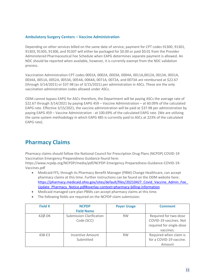#### **Ambulatory Surgery Centers – Vaccine Administration**

Depending on other services billed on the same date of service, payment for CPT codes 91300, 91301, 91303, 91305, 91306, and 91307 will either be packaged for \$0.00 or paid \$0.01 from the Provider Administered Pharmaceutical Fee Schedule when EAPG determines separate payment is allowed. An NDC should be reported when available, however, it is currently exempt from the NDC validation process.

Vaccination Administration CPT codes 0001A, 0002A, 0003A, 0004A, 0011A,0012A, 0013A, 0031A, 0034A, 0051A, 0052A, 0053A, 0054A, 0064A, 0071A, 0072A, and 0073A are reimbursed at \$22.67 (through 3/14/2021) or \$37.98 (as of 3/15/2021) per administration in ASCs. These are the only vaccination administration codes allowed under ASCs.

ODM cannot bypass EAPG for ASCs therefore, the Department will be paying ASCs the average rate of \$22.67 through 3/14/2021 by paying EAPG 459 – Vaccine Administration – at 60.09% of the calculated EAPG rate. Effective 3/15/2021, the vaccine administration will be paid at \$37.98 per administration by paying EAPG 459 – Vaccine Administration - at 100.69% of the calculated EAPG rate. (We are utilizing the same system methodology in which EAPG 485 is currently paid to ASCs at 223% of the calculated EAPG rate).

## **Pharmacy Claims**

Pharmacy claims should follow the National Council for Prescription Drug Plans (NCPDP) COVID-19 Vaccination Emergency Preparedness Guidance found here:

https://www.ncpdp.org/NCPDP/media/pdf/NCPDP-Emergency-Preparedness-Guidance-COVID-19- Vaccines.pdf

- Medicaid FFS, through its Pharmacy Benefit Manager (PBM) Change Healthcare, can accept pharmacy claims at this time. Further instructions can be found on the ODM website here: https://pharmacy.medicaid.ohio.gov/sites/default/files/20210427 Covid Vaccine Admin Fee Update\_Pharmacy\_Notice.pdf#overlay-context=pharmacy-billing-information
- Medicaid managed care plan PBMs can accept pharmacy claims at this time.
- The following fields are required on the NCPDP claim submission:

| Field #      | <b>NCPDP</b>                    | <b>Payer Usage</b> | <b>Comment</b>           |
|--------------|---------------------------------|--------------------|--------------------------|
|              | <b>Field Name</b>               |                    |                          |
| $42\phi$ -DK | <b>Submission Clarification</b> | <b>RW</b>          | Required for two-dose    |
|              | Code (SCC)                      |                    | COVID-19 vaccines. Not   |
|              |                                 |                    | required for single-dose |
|              |                                 |                    | vaccines.                |
| 438-E3       | Incentive Amount                | <b>RW</b>          | Required when claim is   |
|              | Submitted                       |                    | for a COVID-19 vaccine.  |
|              |                                 |                    | Amount                   |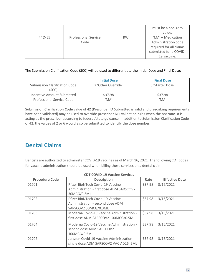|        |                                     |           | must be a non-zero<br>value.                                                                                 |
|--------|-------------------------------------|-----------|--------------------------------------------------------------------------------------------------------------|
| 44Ø-E5 | <b>Professional Service</b><br>Code | <b>RW</b> | 'MA' - Medication<br>Administration code<br>required for all claims<br>submitted for a COVID-<br>19 vaccine. |

The Submission Clarification Code (SCC) will be used to differentiate the Initial Dose and Final Dose:

|                                       | <b>Initial Dose</b>        | <b>Final Dose</b>          |
|---------------------------------------|----------------------------|----------------------------|
| Submission Clarification Code<br>SCC) | 2 'Other Override'         | 6 'Starter Dose'           |
| Incentive Amount Submitted            | \$37.98                    | \$37.98                    |
| Professional Service Code             | $^{\prime}$ MA $^{\prime}$ | $^{\prime}$ MA $^{\prime}$ |

**Submission Clarification Code** value of **42** (Prescriber ID Submitted is valid and prescribing requirements have been validated) may be used to override prescriber NPI validation rules when the pharmacist is acting as the prescriber according to federal/state guidance. In addition to Submission Clarification Code of 42, the values of 2 or 6 would also be submitted to identify the dose number.

## **Dental Claims**

Dentists are authorized to administer COVID-19 vaccines as of March 16, 2021. The following CDT codes for vaccine administration should be used when billing these services on a dental claim.

| <b>CDT COVID-19 Vaccine Services</b> |                                           |                       |           |  |
|--------------------------------------|-------------------------------------------|-----------------------|-----------|--|
| <b>Procedure Code</b>                | Rate                                      | <b>Effective Date</b> |           |  |
| D1701                                | Pfizer BioNTech Covid-19 Vaccine          | \$37.98               | 3/16/2021 |  |
|                                      | Administration - first dose ADM SARSCOV2  |                       |           |  |
|                                      | 30MCG/0.3ML                               |                       |           |  |
| D1702                                | Pfizer BioNTech Covid-19 Vaccine          | \$37.98               | 3/16/2021 |  |
|                                      | Administration - second dose ADM          |                       |           |  |
|                                      | SARSCOV2 30MCG/0.3ML                      |                       |           |  |
| D1703                                | Moderna Covid-19 Vaccine Administration - | \$37.98               | 3/16/2021 |  |
|                                      | first dose ADM SARSCOV2 100MCG/0.5ML      |                       |           |  |
| D1704                                | Moderna Covid-19 Vaccine Administration - | \$37.98               | 3/16/2021 |  |
|                                      | second dose ADM SARSCOV2                  |                       |           |  |
|                                      | 100MCG/0.5ML                              |                       |           |  |
| D <sub>1707</sub>                    | Janssen Covid-19 Vaccine Administration - | \$37.98               | 3/16/2021 |  |
|                                      | single dose ADM SARSCOV2 VAC AD26 .5ML    |                       |           |  |
|                                      |                                           |                       |           |  |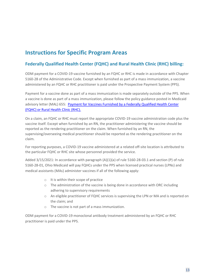## **Instructions for Specific Program Areas**

#### **Federally Qualified Health Center (FQHC) and Rural Health Clinic (RHC) billing:**

ODM payment for a COVID-19 vaccine furnished by an FQHC or RHC is made in accordance with Chapter 5160-28 of the Administrative Code. Except when furnished as part of a mass immunization, a vaccine administered by an FQHC or RHC practitioner is paid under the Prospective Payment System (PPS).

Payment for a vaccine done as part of a mass immunization is made separately outside of the PPS. When a vaccine is done as part of a mass immunization, please follow the policy guidance posted in Medicaid advisory letter (MAL) 655: Payment for Vaccines Furnished by a Federally Qualified Health Center (FQHC) or Rural Health Clinic (RHC).

On a claim, an FQHC or RHC must report the appropriate COVID-19 vaccine administration code plus the vaccine itself. Except when furnished by an RN, the practitioner administering the vaccine should be reported as the rendering practitioner on the claim. When furnished by an RN, the supervising/overseeing medical practitioner should be reported as the rendering practitioner on the claim.

For reporting purposes, a COVID-19 vaccine administered at a related off-site location is attributed to the particular FQHC or RHC site whose personnel provided the service.

Added  $3/15/2021$ : In accordance with paragraph  $(A)(1)(a)$  of rule 5160-28-03.1 and section (P) of rule 5160-28-01, Ohio Medicaid will pay FQHCs under the PPS when licensed practical nurses (LPNs) and medical assistants (MAs) administer vaccines if all of the following apply:

- o It is within their scope of practice
- o The administration of the vaccine is being done in accordance with ORC including adhering to supervisory requirements
- o An eligible practitioner of FQHC services is supervising the LPN or MA and is reported on the claim; and
- o The vaccine is not part of a mass immunization.

ODM payment for a COVID-19 monoclonal antibody treatment administered by an FQHC or RHC practitioner is paid under the PPS.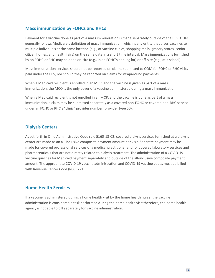#### **Mass immunization by FQHCs and RHCs**

Payment for a vaccine done as part of a mass immunization is made separately outside of the PPS. ODM generally follows Medicare's definition of mass immunization, which is any entity that gives vaccines to multiple individuals at the same location (e.g., at vaccine clinics, shopping malls, grocery stores, senior citizen homes, and health fairs) on the same date in a short time interval. Mass immunizations furnished by an FQHC or RHC may be done on-site (e.g., in an FQHC's parking lot) or off-site (e.g., at a school).

Mass immunization services should not be reported on claims submitted to ODM for FQHC or RHC visits paid under the PPS, nor should they be reported on claims for wraparound payments.

When a Medicaid recipient is enrolled in an MCP, and the vaccine is given as part of a mass immunization, the MCO is the only payer of a vaccine administered during a mass immunization.

When a Medicaid recipient is not enrolled in an MCP, and the vaccine is done as part of a mass immunization, a claim may be submitted separately as a covered non-FQHC or covered non-RHC service under an FQHC or RHC's "clinic" provider number (provider type 50).

#### **Dialysis Centers**

As set forth in Ohio Administrative Code rule 5160-13-02, covered dialysis services furnished at a dialysis center are made as an all-inclusive composite payment amount per visit. Separate payment may be made for covered professional services of a medical practitioner and for covered laboratory services and pharmaceuticals that are not directly related to dialysis treatment. The administration of a COVID-19 vaccine qualifies for Medicaid payment separately and outside of the all-inclusive composite payment amount. The appropriate COVID-19 vaccine administration and COVID-19 vaccine codes must be billed with Revenue Center Code (RCC) 771.

#### **Home Health Services**

If a vaccine is administered during a home health visit by the home health nurse, the vaccine administration is considered a task performed during the home health visit therefore, the home health agency is not able to bill separately for vaccine administration.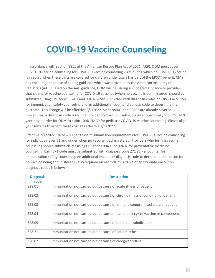## **COVID-19 Vaccine Counseling**

In accordance with section 9811 of the American Rescue Plan Act of 2021 (ARP), ODM must cover COVID-19 vaccine counseling for COVID-19 vaccine counseling visits during which no COVID-19 vaccine is injected when these visits are covered for children under age 21 as part of the EPSDT benefit. CMS has encouraged the use of coding guidance which was provided by the American Academy of Pediatrics (AAP). Based on the AAP guidance, ODM will be issuing an updated guidance to providers that claims for vaccine counseling for COVID-19 vaccines (when no vaccine is administered) should be submitted using CPT codes 99401 and 99402 when submitted with diagnosis codes Z71.85 - Encounter for immunization safety counseling and an additional encounter diagnosis code to determine the outcome. This change will be effective 2/1/2022. Since 99401 and 99402 are already covered procedures, a diagnosis code is required to identify that counseling occurred specifically for COVID-19 vaccines in order for ODM to claim 100% FMAP for pediatric COVID-19 vaccine counseling. Please align your systems to accept these changes effective 2/1/2022.

Effective 2/1/2022, ODM will change claim submission requirements for COVID-19 vaccine counseling for individuals ages 21 and under when no vaccine is administered. Providers who furnish vaccine counseling should submit claims using CPT codes 99401 or 99402 for preventative medicine counseling. Each CPT code must be submitted with diagnosis code Z71.85 - encounter for immunization safety counseling. An additional encounter diagnosis code to determine the reason for no vaccine being administered is also required on each claim. A table of appropriate encounter diagnosis codes is below:

| <b>Diagnosis</b><br>code | <b>Description</b>                                                              |
|--------------------------|---------------------------------------------------------------------------------|
|                          |                                                                                 |
| Z28.01                   | Immunization not carried out because of acute illness of patient                |
| Z28.02                   | Immunization not carried out because of chronic illness or condition of patient |
| Z28.03                   | Immunization not carried out because of immune compromised state of patient     |
| Z28.04                   | Immunization not carried out because of patient allergy to vaccine or component |
| Z28.09                   | Immunization not carried out because of other contraindication                  |
| Z28.21                   | Immunization not carried out because of patient refusal                         |
| Z28.82                   | Immunization not carried out because of caregiver refusal                       |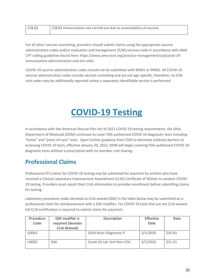| Z28.83 | Z28.83 Immunization not carried out due to unavailability of vaccine |
|--------|----------------------------------------------------------------------|
|        |                                                                      |

For all other vaccine counseling, providers should submit claims using the appropriate vaccine administration codes and/or evaluation and management (E/M) services code in accordance with AMA CPT coding guidelines found here: https://www.ama-assn.org/practice-management/cpt/covid-19 immunization-administration-and-em-visits.

COVID-19 vaccine administration codes should not be submitted with 99401 or 99402. All COVID-19 vaccine administration codes include vaccine counseling and are not age-specific; therefore, no E/M visit codes may be additionally reported unless a separately identifiable service is performed.

## **COVID-19 Testing**

In accordance with the American Rescue Plan Act of 2021 COVID-19 testing requirements, the Ohio Department of Medicaid (ODM) continues to cover FDA-authorized COVID-19 diagnostic tests including "home" and "point-of-care" tests. Upon further guidance from CMS to eliminate arbitrary barriers to accessing COVID-19 tests, effective January 20, 2022, ODM will begin covering FDA-authorized COVID-19 diagnostic tests without a prescription with no member cost sharing.

## **Professional Claims**

Professional FFS claims for COVID-19 testing may be submitted for payment by entities who have received a Clinical Laboratory Improvement Amendment (CLIA) Certificate of Waiver to conduct COVID-19 testing. Providers must report their CLIA information to provider enrollment before submitting claims for testing.

Laboratory procedure codes denoted as CLIA waived (QW) in the table below may be submitted on a professional claim for reimbursement with a QW modifier. For COVID-19 tests that are not CLIA waived, full CLIA certification is required to submit claims for payment.

| Procedure | QW modifier is      | <b>Description</b>        | <b>Effective</b> | Rate    |
|-----------|---------------------|---------------------------|------------------|---------|
| Code      | required (denotes   |                           | <b>Date</b>      |         |
|           | <b>CLIA Waived)</b> |                           |                  |         |
| U0001     |                     | 2019-Noov Diagnostic P    | 3/1/2020         | \$35.92 |
| U0002     | QW                  | Covid-19 Lab Test Non-CDC | 3/1/2020         | \$51.31 |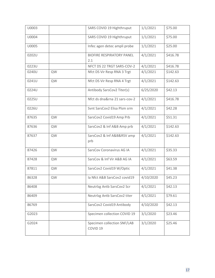| U0003 |    | SARS COVID 19 Highthruput                          | 1/1/2021  | \$75.00  |
|-------|----|----------------------------------------------------|-----------|----------|
| U0004 |    | SARS COVID 19 Highthruput                          | 1/1/2021  | \$75.00  |
| U0005 |    | Infec agen detec ampli probe                       | 1/1/2021  | \$25.00  |
| 0202U |    | <b>BIOFIRE RESPIRATORY PANEL</b><br>2.1            | 4/1/2021  | \$416.78 |
| 0223U |    | NFCT DS 22 TRGT SARS-COV-2                         | 4/1/2021  | \$416.78 |
| 0240U | QW | Nfct DS Vir Resp RNA 3 Trgt                        | 4/1/2021  | \$142.63 |
| 0241U | QW | Nfct DS Vir Resp RNA 4 Trgt                        | 4/1/2021  | \$142.63 |
| 0224U |    | Antibody SarsCov2 Titer(s)                         | 6/25/2020 | \$42.13  |
| 0225U |    | Nfct ds dna&rna 21 sars-cov-2                      | 4/1/2021  | \$416.78 |
| 0226U |    | Svnt SarsCov2 Elisa Plsm srm                       | 4/1/2021  | \$42.28  |
| 87635 | QW | SarsCov2 Covid19 Amp Prb                           | 4/1/2021  | \$51.31  |
| 87636 | QW | SarsCov2 & Inf A&B Amp prb                         | 4/1/2021  | \$142.63 |
| 87637 | QW | SarsCov2 & Inf A&B&RSV amp<br>prb                  | 4/1/2021  | \$142.63 |
| 87426 | QW | SarsCov Coronavirus AG IA                          | 4/1/2021  | \$35.33  |
| 87428 | QW | SarsCov & Inf Vir A&B AG IA                        | 4/1/2021  | \$63.59  |
| 87811 | QW | SarsCov2 Covid19 W/Optic                           | 4/1/2021  | \$41.38  |
| 86328 | QW | la Nfct A&B SarsCov2 covid19                       | 4/10/2020 | \$45.23  |
| 86408 |    | Neutrizg Antb SarsCov2 Scr                         | 4/1/2021  | \$42.13  |
| 86409 |    | Neutrlzg Antb SarsCov2 titer                       | 4/1/2021  | \$79.61  |
| 86769 |    | SarsCov2 Covid19 Antibody                          | 4/10/2020 | \$42.13  |
| G2023 |    | Specimen collection COVID 19                       | 3/1/2020  | \$23.46  |
| G2024 |    | Specimen collection SNF/LAB<br>COVID <sub>19</sub> | 3/1/2020  | \$25.46  |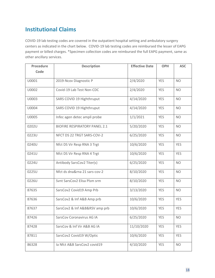## **Institutional Claims**

COVID-19 lab testing codes are covered in the outpatient hospital setting and ambulatory surgery centers as indicated in the chart below. COVID-19 lab testing codes are reimbursed the lesser of EAPG payment or billed charges. \*Specimen collection codes are reimbursed the full EAPG payment, same as other ancillary services.

| Procedure | <b>Description</b>                   | <b>Effective Date</b> | <b>OPH</b> | <b>ASC</b> |
|-----------|--------------------------------------|-----------------------|------------|------------|
| Code      |                                      |                       |            |            |
| U0001     | 2019-Ncov Diagnostic P               | 2/4/2020              | <b>YES</b> | <b>NO</b>  |
| U0002     | Covid-19 Lab Test Non-CDC            | 2/4/2020              | <b>YES</b> | <b>NO</b>  |
| U0003     | SARS COVID 19 Highthruput            | 4/14/2020             | <b>YES</b> | <b>NO</b>  |
| U0004     | SARS COVID 19 Highthruput            | 4/14/2020             | <b>YES</b> | <b>NO</b>  |
| U0005     | Infec agen detec ampli probe         | 1/1/2021              | <b>YES</b> | <b>NO</b>  |
| 0202U     | <b>BIOFIRE RESPIRATORY PANEL 2.1</b> | 5/20/2020             | <b>YES</b> | <b>NO</b>  |
| 0223U     | NFCT DS 22 TRGT SARS-COV-2           | 6/25/2020             | <b>YES</b> | <b>NO</b>  |
| 0240U     | Nfct DS Vir Resp RNA 3 Trgt          | 10/6/2020             | <b>YES</b> | <b>YES</b> |
| 0241U     | Nfct DS Vir Resp RNA 4 Trgt          | 10/6/2020             | <b>YES</b> | <b>YES</b> |
| 0224U     | Antibody SarsCov2 Titer(s)           | 6/25/2020             | <b>YES</b> | <b>NO</b>  |
| 0225U     | Nfct ds dna&rna 21 sars-cov-2        | 8/10/2020             | <b>YES</b> | <b>NO</b>  |
| 0226U     | Svnt SarsCov2 Elisa Plsm srm         | 8/10/2020             | <b>YES</b> | <b>NO</b>  |
| 87635     | SarsCov2 Covid19 Amp Prb             | 3/13/2020             | <b>YES</b> | <b>NO</b>  |
| 87636     | SarsCov2 & Inf A&B Amp prb           | 10/6/2020             | <b>YES</b> | <b>YES</b> |
| 87637     | SarsCov2 & Inf A&B&RSV amp prb       | 10/6/2020             | <b>YES</b> | <b>YES</b> |
| 87426     | SarsCov Coronavirus AG IA            | 6/25/2020             | <b>YES</b> | <b>NO</b>  |
| 87428     | SarsCov & Inf Vir A&B AG IA          | 11/10/2020            | <b>YES</b> | <b>YES</b> |
| 87811     | SarsCov2 Covid19 W/Optic             | 10/6/2020             | YES        | <b>YES</b> |
| 86328     | la Nfct A&B SarsCov2 covid19         | 4/10/2020             | <b>YES</b> | <b>NO</b>  |
|           |                                      |                       |            |            |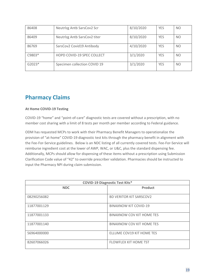| 86408    | Neutrizg Antb SarsCov2 Scr        | 8/10/2020 | <b>YES</b> | <b>NO</b> |
|----------|-----------------------------------|-----------|------------|-----------|
| 86409    | Neutrizg Antb SarsCov2 titer      | 8/10/2020 | <b>YES</b> | <b>NO</b> |
| 86769    | SarsCov2 Covid19 Antibody         | 4/10/2020 | <b>YES</b> | <b>NO</b> |
| $C9803*$ | <b>HOPD COVID-19 SPEC COLLECT</b> | 3/1/2020  | <b>YES</b> | <b>NO</b> |
| $G2023*$ | Specimen collection COVID 19      | 3/1/2020  | <b>YES</b> | <b>NO</b> |

## **Pharmacy Claims**

#### **At Home COVID-19 Testing**

COVID-19 "home" and "point-of-care" diagnostic tests are covered without a prescription, with no member cost sharing with a limit of 8 tests per month per member according to Federal guidance.

ODM has requested MCPs to work with their Pharmacy Benefit Managers to operationalize the provision of "at-home" COVID-19 diagnostic test kits through the pharmacy benefit in alignment with the Fee-For-Service guidelines. Below is an NDC listing of all currently covered tests. Fee-For-Service will reimburse ingredient cost at the lower of AWP, WAC, or U&C, plus the standard dispensing fee. Additionally, MCPs should allow for dispensing of these items without a prescription using Submission Clarification Code value of "42" to override prescriber validation. Pharmacies should be instructed to input the Pharmacy NPI during claim submission.

| <b>COVID-19 Diagnostic Test Kits*</b> |                                  |  |  |
|---------------------------------------|----------------------------------|--|--|
| <b>NDC</b>                            | Product                          |  |  |
| 08290256082                           | <b>BD VERITOR KIT SARSCOV2</b>   |  |  |
| 11877001129                           | <b>BINAXNOW KIT COVID-19</b>     |  |  |
| 11877001133                           | <b>BINAXNOW COV KIT HOME TES</b> |  |  |
| 11877001140                           | BINAXNOW COV KIT HOME TES        |  |  |
| 56964000000                           | ELLUME COV19 KIT HOME TES        |  |  |
| 82607066026                           | <b>FLOWFLEX KIT HOME TST</b>     |  |  |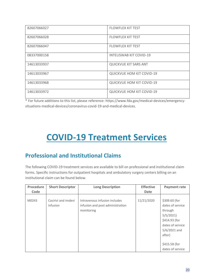| 82607066027 | <b>FLOWFLEX KIT TEST</b>         |
|-------------|----------------------------------|
| 82607066028 | <b>FLOWFLEX KIT TEST</b>         |
| 82607066047 | <b>FLOWFLEX KIT TEST</b>         |
| 08337000158 | <b>INTELISWAB KIT COVID-19</b>   |
| 14613033937 | QUICKVUE KIT SARS ANT            |
| 14613033967 | <b>QUICKVUE HOM KIT COVID-19</b> |
| 14613033968 | <b>QUICKVUE HOM KIT COVID-19</b> |
| 14613033972 | <b>QUICKVUE HOM KIT COVID-19</b> |

\* For future additions to this list, please reference: https://www.fda.gov/medical-devices/emergencysituations-medical-devices/coronavirus-covid-19-and-medical-devices.

## **COVID-19 Treatment Services**

## **Professional and Institutional Claims**

The following COVID-19 treatment services are available to bill on professional and institutional claim forms. Specific instructions for outpatient hospitals and ambulatory surgery centers billing on an institutional claim can be found below.

| Procedure<br>Code | <b>Short Descriptor</b>         | <b>Long Description</b>                                                         | <b>Effective</b><br><b>Date</b> | <b>Payment rate</b>                                                                                                                                            |
|-------------------|---------------------------------|---------------------------------------------------------------------------------|---------------------------------|----------------------------------------------------------------------------------------------------------------------------------------------------------------|
| M0243             | Casirivi and imdevi<br>infusion | Intravenous infusion includes<br>infusion and post administration<br>monitoring | 11/21/2020                      | \$309.60 (for<br>dates of service<br>through<br>5/5/2021<br>\$414.93 (for<br>dates of service<br>$5/6/2021$ and<br>after)<br>\$415.58 (for<br>dates of service |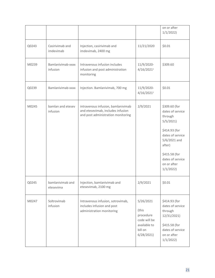|       |                               |                                                                                                               |                                                                                         | on or after<br>1/1/2022                                                                                                                                                                 |
|-------|-------------------------------|---------------------------------------------------------------------------------------------------------------|-----------------------------------------------------------------------------------------|-----------------------------------------------------------------------------------------------------------------------------------------------------------------------------------------|
| Q0243 | Casirivimab and<br>imdevimab  | Injection, casirivimab and<br>imdevimab, 2400 mg                                                              | 11/21/2020                                                                              | \$0.01                                                                                                                                                                                  |
| M0239 | Bamlanivimab-xxxx<br>infusion | Intravenous infusion includes<br>infusion and post administration<br>monitoring                               | 11/9/2020-<br>4/16/20211                                                                | \$309.60                                                                                                                                                                                |
| Q0239 | Bamlanivimab-xxxx             | Injection. Bamlanivimab, 700 mg                                                                               | 11/9/2020-<br>4/16/20211                                                                | \$0.01                                                                                                                                                                                  |
| M0245 | bamlan and etesev<br>infusion | intravenous infusion, bamlanivimab<br>and etesevimab, includes infusion<br>and post administration monitoring | 2/9/2021                                                                                | \$309.60 (for<br>dates of service<br>through<br>5/5/2021<br>\$414.93 (for<br>dates of service<br>5/6/2021 and<br>after)<br>\$415.58 (for<br>dates of service<br>on or after<br>1/1/2022 |
| Q0245 | bamlanivimab and<br>etesevima | Injection, bamlanivimab and<br>etesevimab, 2100 mg                                                            | 2/9/2021                                                                                | \$0.01                                                                                                                                                                                  |
| M0247 | Soltrovimab<br>infusion       | Intravenous infusion, sotrovimab,<br>includes infusion and post<br>administration monitoring                  | 5/26/2021<br>(this<br>procedure<br>code will be<br>available to<br>bill on<br>6/28/2021 | \$414.93 (for<br>dates of service<br>through<br>12/31/2021)<br>\$415.58 (for<br>dates of service<br>on or after<br>1/1/2022                                                             |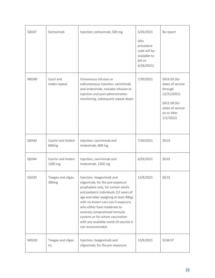| Q0247 | Sotrovimab                               | Injection, sotrovimab, 500 mg                                                                                                                                                                                                                                                                                                                                                                  | 5/26/2021<br>(this<br>procedure<br>code will be<br>available to<br>bill on<br>6/28/2021 | By report                                                                                                                   |
|-------|------------------------------------------|------------------------------------------------------------------------------------------------------------------------------------------------------------------------------------------------------------------------------------------------------------------------------------------------------------------------------------------------------------------------------------------------|-----------------------------------------------------------------------------------------|-----------------------------------------------------------------------------------------------------------------------------|
| M0240 | Casiri and<br>imdev repeat               | Intravenous infusion or<br>subcutaneous injection, casirivimab<br>and imdevimab, includes infusion or<br>injection and post administration<br>monitoring, subsequent repeat doses                                                                                                                                                                                                              | 7/30/2021                                                                               | \$414.93 (for<br>dates of service<br>through<br>12/31/2021)<br>\$415.58 (for<br>dates of service<br>on or after<br>1/1/2022 |
| Q0240 | Casirivi and imdevi<br>600 <sub>mg</sub> | Injection, casirivimab and<br>imdevimab, 600 mg                                                                                                                                                                                                                                                                                                                                                | 7/30/2021                                                                               | \$0.01                                                                                                                      |
| Q0244 | Casirivi and imdevi<br>1200 mg           | Injection, casirivimab and<br>imdevimab, 1200 mg                                                                                                                                                                                                                                                                                                                                               | 6/03/2021                                                                               | \$0.01                                                                                                                      |
| Q0220 | Tixagev and cilgav,<br>300mg             | Injection, tixagevimab and<br>cilgavimab, for the pre-exposure<br>prophylaxis only, for certain adults<br>and pediatric individuals (12 years of<br>age and older weighing at least 40kg)<br>with no known sars-cov-2 exposure,<br>who either have moderate to<br>severely compromised immune<br>systems or for whom vaccination<br>with any available covid-19 vaccine is<br>not recommended. | 12/8/2021                                                                               | \$0.01                                                                                                                      |
| M0220 | Tixagev and cilgav<br>inj                | Injection, tixagevimab and<br>cilgavimab, for the pre-exposure                                                                                                                                                                                                                                                                                                                                 | 12/8/2021                                                                               | \$138.97                                                                                                                    |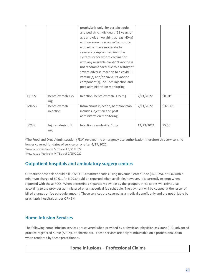<sup>1</sup>The Food and Drug Administration (FDA) revoked the emergency use authorization therefore this service is no longer covered for dates of service on or after 4/17/2021.

<sup>3</sup>New rate effective in MITS as of 1/21/2022

<sup>4</sup>New rate effective in MITS as of 2/25/2022

#### **Outpatient hospitals and ambulatory surgery centers**

Outpatient hospitals should bill COVID-19 treatment codes using Revenue Center Code (RCC) 25X or 636 with a minimum charge of \$0.01. An NDC should be reported when available, however, it is currently exempt when reported with these RCCs. When determined separately payable by the grouper, these codes will reimburse according to the provider administered pharmaceutical fee schedule. The payment will be capped at the lesser of billed charges or fee schedule amount. These services are covered as a medical benefit only and are not billable by psychiatric hospitals under OPHBH.

#### **Home Infusion Services**

The following home infusion services are covered when provided by a physician, physician assistant (PA), advanced practice registered nurse (APRN), or pharmacist. These services are only reimbursable on a professional claim when rendered by these practitioners.

#### **Home Infusions – Professional Claims**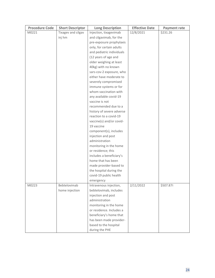| <b>Procedure Code</b> | <b>Short Descriptor</b> | <b>Long Description</b>                            | <b>Effective Date</b> | <b>Payment rate</b> |
|-----------------------|-------------------------|----------------------------------------------------|-----------------------|---------------------|
| M0221                 | Tixagev and cilgav      | Injection, tixagevimab                             | 12/8/2021             | \$231.26            |
|                       | inj hm                  | and cilgavimab, for the                            |                       |                     |
|                       |                         | pre-exposure prophylaxis                           |                       |                     |
|                       |                         | only, for certain adults                           |                       |                     |
|                       |                         | and pediatric individuals                          |                       |                     |
|                       |                         | (12 years of age and                               |                       |                     |
|                       |                         | older weighing at least                            |                       |                     |
|                       |                         | 40kg) with no known                                |                       |                     |
|                       |                         | sars-cov-2 exposure, who                           |                       |                     |
|                       |                         | either have moderate to                            |                       |                     |
|                       |                         | severely compromised                               |                       |                     |
|                       |                         | immune systems or for                              |                       |                     |
|                       |                         | whom vaccination with                              |                       |                     |
|                       |                         | any available covid-19                             |                       |                     |
|                       |                         | vaccine is not                                     |                       |                     |
|                       |                         | recommended due to a                               |                       |                     |
|                       |                         | history of severe adverse                          |                       |                     |
|                       |                         | reaction to a covid-19                             |                       |                     |
|                       |                         | vaccine(s) and/or covid-                           |                       |                     |
|                       |                         | 19 vaccine                                         |                       |                     |
|                       |                         | component(s), includes                             |                       |                     |
|                       |                         | injection and post                                 |                       |                     |
|                       |                         | administration                                     |                       |                     |
|                       |                         | monitoring in the home                             |                       |                     |
|                       |                         | or residence; this                                 |                       |                     |
|                       |                         | includes a beneficiary's                           |                       |                     |
|                       |                         | home that has been                                 |                       |                     |
|                       |                         | made provider-based to                             |                       |                     |
|                       |                         | the hospital during the                            |                       |                     |
|                       |                         | covid-19 public health                             |                       |                     |
|                       |                         | emergency                                          |                       |                     |
| M0223                 | Bebtelovimab            | Intravenous injection,                             | 2/11/2022             | \$507.874           |
|                       | home injection          | bebtelovimab, includes                             |                       |                     |
|                       |                         | injection and post<br>administration               |                       |                     |
|                       |                         |                                                    |                       |                     |
|                       |                         | monitoring in the home<br>or residence. Includes a |                       |                     |
|                       |                         |                                                    |                       |                     |
|                       |                         | beneficiary's home that                            |                       |                     |
|                       |                         | has been made provider-                            |                       |                     |
|                       |                         | based to the hospital                              |                       |                     |
|                       |                         | during the PHE                                     |                       |                     |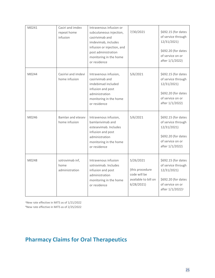| M0241 | Casiri and imdev<br>repeat home<br>infusion | Intravenous infusion or<br>subcutaneous injection,<br>casirivimab and<br>imdevimab, includes<br>infusion or injection, and<br>post administration<br>monitoring in the home<br>or residence | 7/30/2021                                                                         | \$692.15 (for dates<br>of service through<br>12/31/2021)<br>\$692.20 (for dates<br>of service on or<br>after 1/1/2022)              |
|-------|---------------------------------------------|---------------------------------------------------------------------------------------------------------------------------------------------------------------------------------------------|-----------------------------------------------------------------------------------|-------------------------------------------------------------------------------------------------------------------------------------|
| M0244 | Casirivi and imdevi<br>home infusion        | Intravenous infusion,<br>casirivimab and<br>imdebimad included<br>infusion and post<br>administration<br>monitoring in the home<br>or residence                                             | 5/6/2021                                                                          | \$692.15 (for dates<br>of service through<br>12/31/2021)<br>\$692.20 (for dates<br>of service on or<br>after 1/1/2022)              |
| M0246 | Bamlan and etesev<br>home infusion          | Intravenous infusion,<br>bamlanivimab and<br>estesevimab. Includes<br>infusion and post<br>administration<br>monitoring in the home<br>or residence                                         | 5/6/2021                                                                          | \$692.15 (for dates<br>of service through<br>12/31/2021)<br>\$692.20 (for dates<br>of service on or<br>after 1/1/2022)              |
| M0248 | sotrovimab inf,<br>home<br>administration   | Intravenous infusion<br>sotrovimab. Includes<br>infusion and post<br>administration<br>monitoring in the home<br>or residence                                                               | 5/26/2021<br>(this procedure<br>code will be<br>available to bill on<br>6/28/2021 | \$692.15 (for dates<br>of service through<br>12/31/2021)<br>\$692.20 (for dates<br>of service on or<br>after 1/1/2022) <sup>1</sup> |

<sup>1</sup>New rate effective in MITS as of 1/21/2022 <sup>4</sup>New rate effective in MITS as of 2/25/2022

## **Pharmacy Claims for Oral Therapeutics**